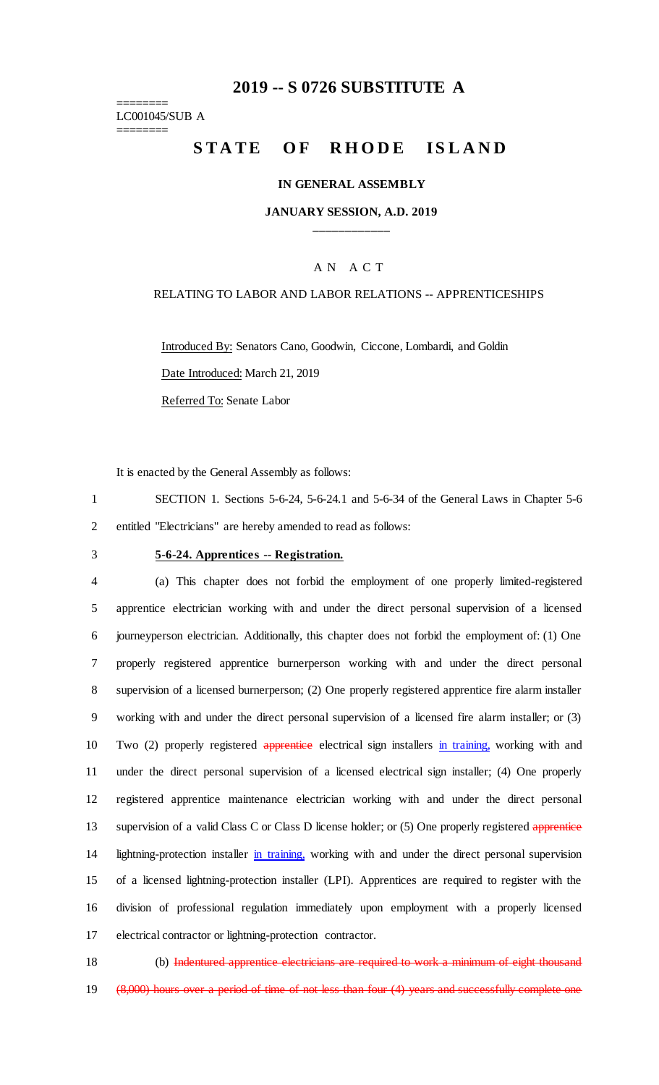# **2019 -- S 0726 SUBSTITUTE A**

======== LC001045/SUB A ========

# STATE OF RHODE ISLAND

## **IN GENERAL ASSEMBLY**

## **JANUARY SESSION, A.D. 2019 \_\_\_\_\_\_\_\_\_\_\_\_**

## A N A C T

## RELATING TO LABOR AND LABOR RELATIONS -- APPRENTICESHIPS

Introduced By: Senators Cano, Goodwin, Ciccone, Lombardi, and Goldin Date Introduced: March 21, 2019

Referred To: Senate Labor

It is enacted by the General Assembly as follows:

1 SECTION 1. Sections 5-6-24, 5-6-24.1 and 5-6-34 of the General Laws in Chapter 5-6 2 entitled "Electricians" are hereby amended to read as follows:

# 3 **5-6-24. Apprentices -- Registration.**

 (a) This chapter does not forbid the employment of one properly limited-registered apprentice electrician working with and under the direct personal supervision of a licensed journeyperson electrician. Additionally, this chapter does not forbid the employment of: (1) One properly registered apprentice burnerperson working with and under the direct personal supervision of a licensed burnerperson; (2) One properly registered apprentice fire alarm installer working with and under the direct personal supervision of a licensed fire alarm installer; or (3) 10 Two (2) properly registered apprentice electrical sign installers in training, working with and under the direct personal supervision of a licensed electrical sign installer; (4) One properly registered apprentice maintenance electrician working with and under the direct personal 13 supervision of a valid Class C or Class D license holder; or (5) One properly registered apprentice 14 lightning-protection installer in training, working with and under the direct personal supervision of a licensed lightning-protection installer (LPI). Apprentices are required to register with the division of professional regulation immediately upon employment with a properly licensed electrical contractor or lightning-protection contractor.

18 (b) Indentured apprentice electricians are required to work a minimum of eight thousand

19 (8,000) hours over a period of time of not less than four (4) years and successfully complete one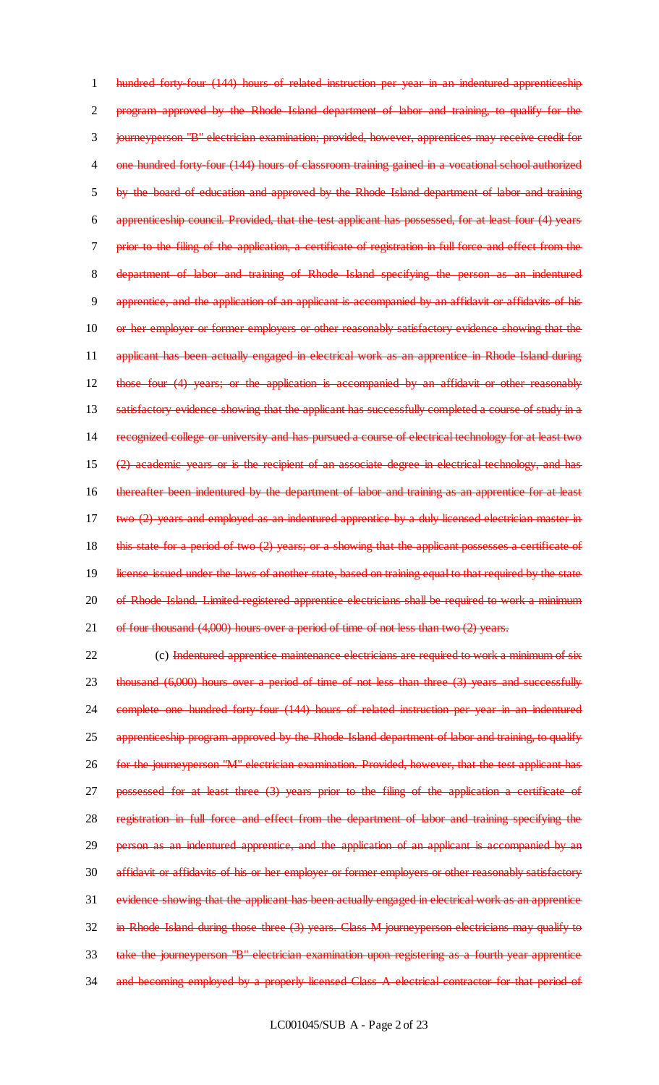1 hundred forty-four (144) hours of related instruction per year in an indentured apprenticeship 2 program approved by the Rhode Island department of labor and training, to qualify for the 3 journeyperson "B" electrician examination; provided, however, apprentices may receive credit for 4 one hundred forty-four (144) hours of classroom training gained in a vocational school authorized 5 by the board of education and approved by the Rhode Island department of labor and training 6 apprenticeship council. Provided, that the test applicant has possessed, for at least four (4) years 7 prior to the filing of the application, a certificate of registration in full force and effect from the 8 department of labor and training of Rhode Island specifying the person as an indentured 9 apprentice, and the application of an applicant is accompanied by an affidavit or affidavits of his 10 or her employer or former employers or other reasonably satisfactory evidence showing that the 11 applicant has been actually engaged in electrical work as an apprentice in Rhode Island during 12 those four (4) years; or the application is accompanied by an affidavit or other reasonably 13 satisfactory evidence showing that the applicant has successfully completed a course of study in a 14 recognized college or university and has pursued a course of electrical technology for at least two 15 (2) academic years or is the recipient of an associate degree in electrical technology, and has 16 thereafter been indentured by the department of labor and training as an apprentice for at least 17 two (2) years and employed as an indentured apprentice by a duly licensed electrician master in 18 this state for a period of two (2) years; or a showing that the applicant possesses a certificate of 19 license issued under the laws of another state, based on training equal to that required by the state 20 of Rhode Island. Limited registered apprentice electricians shall be required to work a minimum 21 of four thousand (4,000) hours over a period of time of not less than two (2) years.

22 (c) Indentured apprentice maintenance electricians are required to work a minimum of six 23 thousand (6,000) hours over a period of time of not less than three (3) years and successfully 24 complete one hundred forty-four (144) hours of related instruction per year in an indentured 25 apprenticeship program approved by the Rhode Island department of labor and training, to qualify 26 for the journeyperson "M" electrician examination. Provided, however, that the test applicant has 27 possessed for at least three (3) years prior to the filing of the application a certificate of 28 registration in full force and effect from the department of labor and training specifying the 29 person as an indentured apprentice, and the application of an applicant is accompanied by an 30 affidavit or affidavits of his or her employer or former employers or other reasonably satisfactory 31 evidence showing that the applicant has been actually engaged in electrical work as an apprentice 32 in Rhode Island during those three (3) years. Class M journeyperson electricians may qualify to 33 take the journeyperson "B" electrician examination upon registering as a fourth year apprentice 34 and becoming employed by a properly licensed Class A electrical contractor for that period of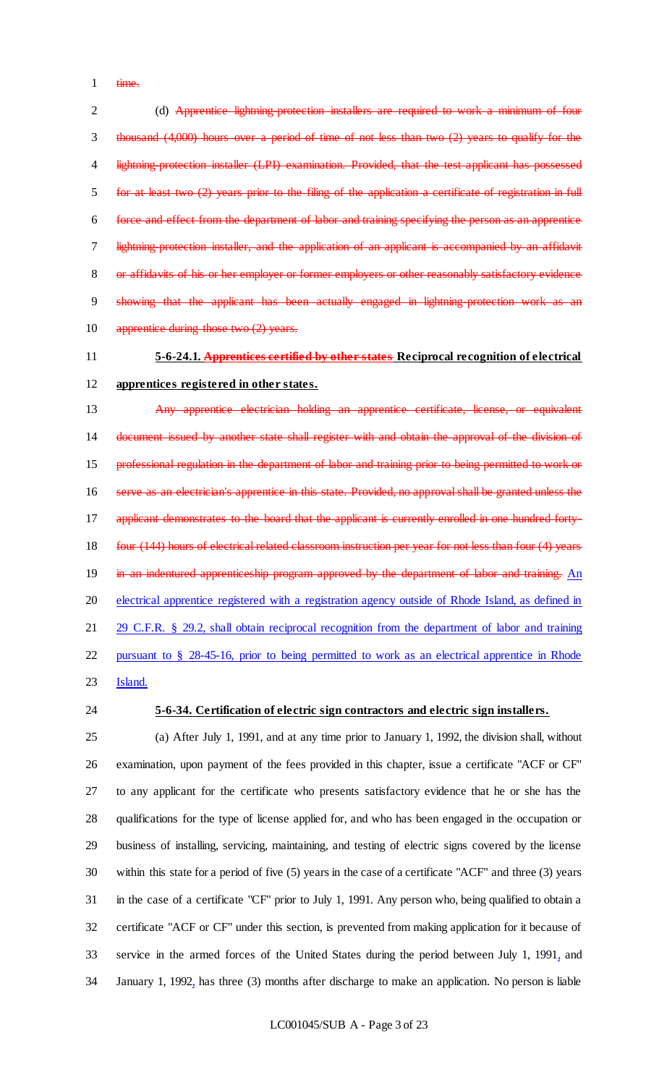1 time.

2 (d) Apprentice lightning-protection installers are required to work a minimum of four thousand (4,000) hours over a period of time of not less than two (2) years to qualify for the 4 lightning-protection installer (LPI) examination. Provided, that the test applicant has possessed for at least two (2) years prior to the filing of the application a certificate of registration in full force and effect from the department of labor and training specifying the person as an apprentice 7 lightning-protection installer, and the application of an applicant is accompanied by an affidavit 8 or affidavits of his or her employer or former employers or other reasonably satisfactory evidence showing that the applicant has been actually engaged in lightning-protection work as an 10 apprentice during those two (2) years.

**5-6-24.1. Apprentices certified by other states Reciprocal recognition of electrical** 

# **apprentices registered in other states.**

 Any apprentice electrician holding an apprentice certificate, license, or equivalent 14 document issued by another state shall register with and obtain the approval of the division of professional regulation in the department of labor and training prior to being permitted to work or serve as an electrician's apprentice in this state. Provided, no approval shall be granted unless the 17 applicant demonstrates to the board that the applicant is currently enrolled in one hundred forty-18 four (144) hours of electrical related classroom instruction per year for not less than four (4) years 19 in an indentured apprenticeship program approved by the department of labor and training. An 20 electrical apprentice registered with a registration agency outside of Rhode Island, as defined in 21 29 C.F.R. § 29.2, shall obtain reciprocal recognition from the department of labor and training pursuant to § 28-45-16, prior to being permitted to work as an electrical apprentice in Rhode

- Island.
- 

# **5-6-34. Certification of electric sign contractors and electric sign installers.**

 (a) After July 1, 1991, and at any time prior to January 1, 1992, the division shall, without examination, upon payment of the fees provided in this chapter, issue a certificate "ACF or CF" to any applicant for the certificate who presents satisfactory evidence that he or she has the qualifications for the type of license applied for, and who has been engaged in the occupation or business of installing, servicing, maintaining, and testing of electric signs covered by the license within this state for a period of five (5) years in the case of a certificate "ACF" and three (3) years in the case of a certificate "CF" prior to July 1, 1991. Any person who, being qualified to obtain a certificate "ACF or CF" under this section, is prevented from making application for it because of service in the armed forces of the United States during the period between July 1, 1991, and January 1, 1992, has three (3) months after discharge to make an application. No person is liable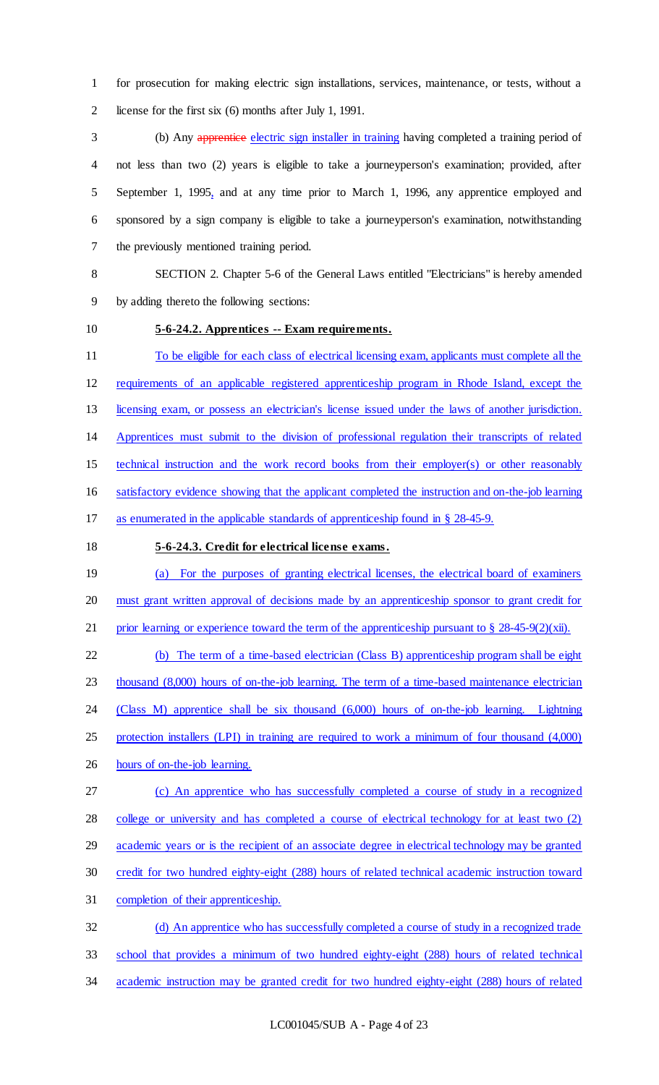for prosecution for making electric sign installations, services, maintenance, or tests, without a license for the first six (6) months after July 1, 1991.

3 (b) Any apprentice electric sign installer in training having completed a training period of not less than two (2) years is eligible to take a journeyperson's examination; provided, after September 1, 1995, and at any time prior to March 1, 1996, any apprentice employed and sponsored by a sign company is eligible to take a journeyperson's examination, notwithstanding the previously mentioned training period.

 SECTION 2. Chapter 5-6 of the General Laws entitled "Electricians" is hereby amended by adding thereto the following sections:

# **5-6-24.2. Apprentices -- Exam requirements.**

 To be eligible for each class of electrical licensing exam, applicants must complete all the requirements of an applicable registered apprenticeship program in Rhode Island, except the licensing exam, or possess an electrician's license issued under the laws of another jurisdiction. Apprentices must submit to the division of professional regulation their transcripts of related technical instruction and the work record books from their employer(s) or other reasonably satisfactory evidence showing that the applicant completed the instruction and on-the-job learning as enumerated in the applicable standards of apprenticeship found in § 28-45-9.

# **5-6-24.3. Credit for electrical license exams.**

 (a) For the purposes of granting electrical licenses, the electrical board of examiners must grant written approval of decisions made by an apprenticeship sponsor to grant credit for 21 prior learning or experience toward the term of the apprenticeship pursuant to  $\S 28-45-9(2)(xii)$ .

 (b) The term of a time-based electrician (Class B) apprenticeship program shall be eight 23 thousand (8,000) hours of on-the-job learning. The term of a time-based maintenance electrician (Class M) apprentice shall be six thousand (6,000) hours of on-the-job learning. Lightning protection installers (LPI) in training are required to work a minimum of four thousand (4,000) hours of on-the-job learning.

 (c) An apprentice who has successfully completed a course of study in a recognized college or university and has completed a course of electrical technology for at least two (2) academic years or is the recipient of an associate degree in electrical technology may be granted credit for two hundred eighty-eight (288) hours of related technical academic instruction toward completion of their apprenticeship.

 (d) An apprentice who has successfully completed a course of study in a recognized trade school that provides a minimum of two hundred eighty-eight (288) hours of related technical academic instruction may be granted credit for two hundred eighty-eight (288) hours of related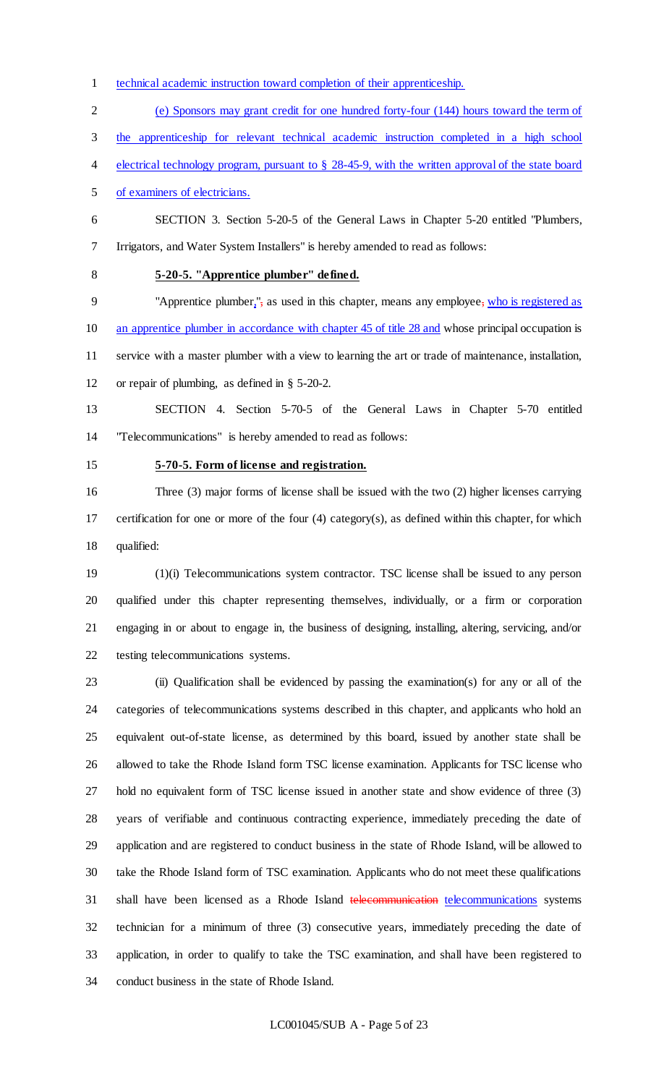- technical academic instruction toward completion of their apprenticeship.
- (e) Sponsors may grant credit for one hundred forty-four (144) hours toward the term of

the apprenticeship for relevant technical academic instruction completed in a high school

electrical technology program, pursuant to § 28-45-9, with the written approval of the state board

of examiners of electricians.

- SECTION 3. Section 5-20-5 of the General Laws in Chapter 5-20 entitled "Plumbers, Irrigators, and Water System Installers" is hereby amended to read as follows:
- 

# **5-20-5. "Apprentice plumber" defined.**

 "Apprentice plumber,", as used in this chapter, means any employee, who is registered as 10 an apprentice plumber in accordance with chapter 45 of title 28 and whose principal occupation is service with a master plumber with a view to learning the art or trade of maintenance, installation, or repair of plumbing, as defined in § 5-20-2.

 SECTION 4. Section 5-70-5 of the General Laws in Chapter 5-70 entitled "Telecommunications" is hereby amended to read as follows:

## **5-70-5. Form of license and registration.**

 Three (3) major forms of license shall be issued with the two (2) higher licenses carrying certification for one or more of the four (4) category(s), as defined within this chapter, for which qualified:

 (1)(i) Telecommunications system contractor. TSC license shall be issued to any person qualified under this chapter representing themselves, individually, or a firm or corporation engaging in or about to engage in, the business of designing, installing, altering, servicing, and/or testing telecommunications systems.

 (ii) Qualification shall be evidenced by passing the examination(s) for any or all of the categories of telecommunications systems described in this chapter, and applicants who hold an equivalent out-of-state license, as determined by this board, issued by another state shall be allowed to take the Rhode Island form TSC license examination. Applicants for TSC license who hold no equivalent form of TSC license issued in another state and show evidence of three (3) years of verifiable and continuous contracting experience, immediately preceding the date of application and are registered to conduct business in the state of Rhode Island, will be allowed to take the Rhode Island form of TSC examination. Applicants who do not meet these qualifications shall have been licensed as a Rhode Island telecommunication telecommunications systems technician for a minimum of three (3) consecutive years, immediately preceding the date of application, in order to qualify to take the TSC examination, and shall have been registered to conduct business in the state of Rhode Island.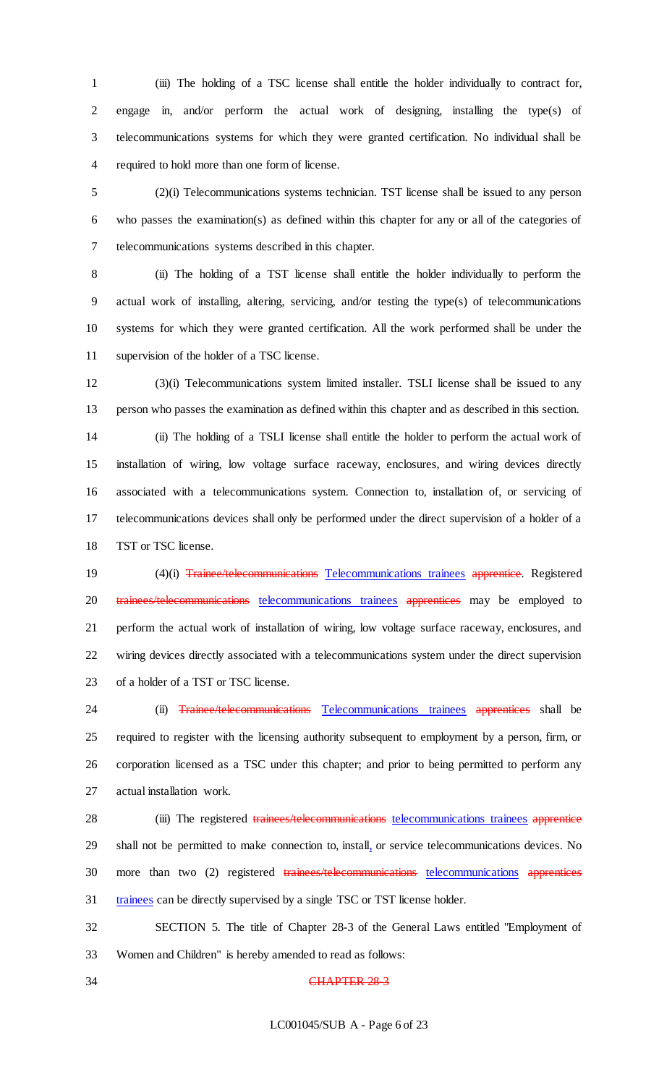(iii) The holding of a TSC license shall entitle the holder individually to contract for, engage in, and/or perform the actual work of designing, installing the type(s) of telecommunications systems for which they were granted certification. No individual shall be required to hold more than one form of license.

 (2)(i) Telecommunications systems technician. TST license shall be issued to any person who passes the examination(s) as defined within this chapter for any or all of the categories of telecommunications systems described in this chapter.

 (ii) The holding of a TST license shall entitle the holder individually to perform the actual work of installing, altering, servicing, and/or testing the type(s) of telecommunications systems for which they were granted certification. All the work performed shall be under the supervision of the holder of a TSC license.

 (3)(i) Telecommunications system limited installer. TSLI license shall be issued to any person who passes the examination as defined within this chapter and as described in this section. (ii) The holding of a TSLI license shall entitle the holder to perform the actual work of installation of wiring, low voltage surface raceway, enclosures, and wiring devices directly associated with a telecommunications system. Connection to, installation of, or servicing of telecommunications devices shall only be performed under the direct supervision of a holder of a 18 TST or TSC license.

19 (4)(i) Trainee/telecommunications Telecommunications trainees apprentice. Registered 20 trainees/telecommunications telecommunications trainees apprentices may be employed to perform the actual work of installation of wiring, low voltage surface raceway, enclosures, and wiring devices directly associated with a telecommunications system under the direct supervision of a holder of a TST or TSC license.

24 (ii) Trainee/telecommunications Telecommunications trainees apprentices shall be required to register with the licensing authority subsequent to employment by a person, firm, or corporation licensed as a TSC under this chapter; and prior to being permitted to perform any actual installation work.

28 (iii) The registered trainees/telecommunications telecommunications trainees apprentice shall not be permitted to make connection to, install, or service telecommunications devices. No 30 more than two (2) registered trainees/telecommunications telecommunications apprentices trainees can be directly supervised by a single TSC or TST license holder.

 SECTION 5. The title of Chapter 28-3 of the General Laws entitled "Employment of Women and Children" is hereby amended to read as follows:

# 34 CHAPTER 28-3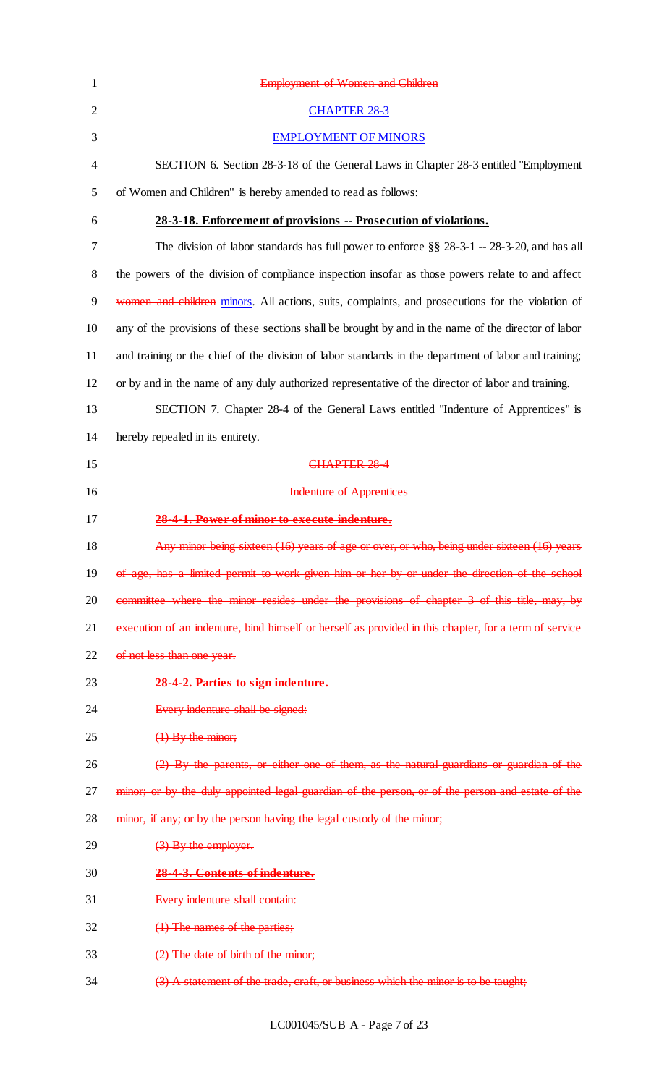| $\mathbf{1}$   | <b>Employment of Women and Children</b>                                                               |
|----------------|-------------------------------------------------------------------------------------------------------|
| $\overline{2}$ | <b>CHAPTER 28-3</b>                                                                                   |
| 3              | <b>EMPLOYMENT OF MINORS</b>                                                                           |
| $\overline{4}$ | SECTION 6. Section 28-3-18 of the General Laws in Chapter 28-3 entitled "Employment"                  |
| 5              | of Women and Children" is hereby amended to read as follows:                                          |
| 6              | 28-3-18. Enforcement of provisions -- Prosecution of violations.                                      |
| 7              | The division of labor standards has full power to enforce $\S\S 28-3-1$ -- 28-3-20, and has all       |
| $8\,$          | the powers of the division of compliance inspection insofar as those powers relate to and affect      |
| 9              | women and children minors. All actions, suits, complaints, and prosecutions for the violation of      |
| 10             | any of the provisions of these sections shall be brought by and in the name of the director of labor  |
| 11             | and training or the chief of the division of labor standards in the department of labor and training; |
| 12             | or by and in the name of any duly authorized representative of the director of labor and training.    |
| 13             | SECTION 7. Chapter 28-4 of the General Laws entitled "Indenture of Apprentices" is                    |
| 14             | hereby repealed in its entirety.                                                                      |
| 15             | <b>CHAPTER 284</b>                                                                                    |
| 16             | <b>Indenture of Apprentices</b>                                                                       |
| 17             | 28-4-1. Power of minor to execute indenture.                                                          |
| 18             | Any minor being sixteen (16) years of age or over, or who, being under sixteen (16) years             |
| 19             | of age, has a limited permit to work given him or her by or under the direction of the school         |
| 20             | committee where the minor resides under the provisions of chapter 3 of this title, may, by            |
| 21             | execution of an indenture, bind himself or herself as provided in this chapter, for a term of service |
| 22             | of not less than one year.                                                                            |
| 23             | 28-4-2. Parties to sign indenture.                                                                    |
| 24             | Every indenture shall be signed:                                                                      |
| 25             | $(1)$ By the minor;                                                                                   |
| 26             | (2) By the parents, or either one of them, as the natural guardians or guardian of the                |
| 27             | minor; or by the duly appointed legal guardian of the person, or of the person and estate of the      |
| 28             | minor, if any; or by the person having the legal custody of the minor;                                |
| 29             | (3) By the employer.                                                                                  |
| 30             | 28-4-3. Contents of indenture.                                                                        |
| 31             | Every indenture shall contain:                                                                        |
| 32             | (1) The names of the parties;                                                                         |
| 33             | (2) The date of birth of the minor;                                                                   |
| 34             | (3) A statement of the trade, craft, or business which the minor is to be taught;                     |

LC001045/SUB A - Page 7 of 23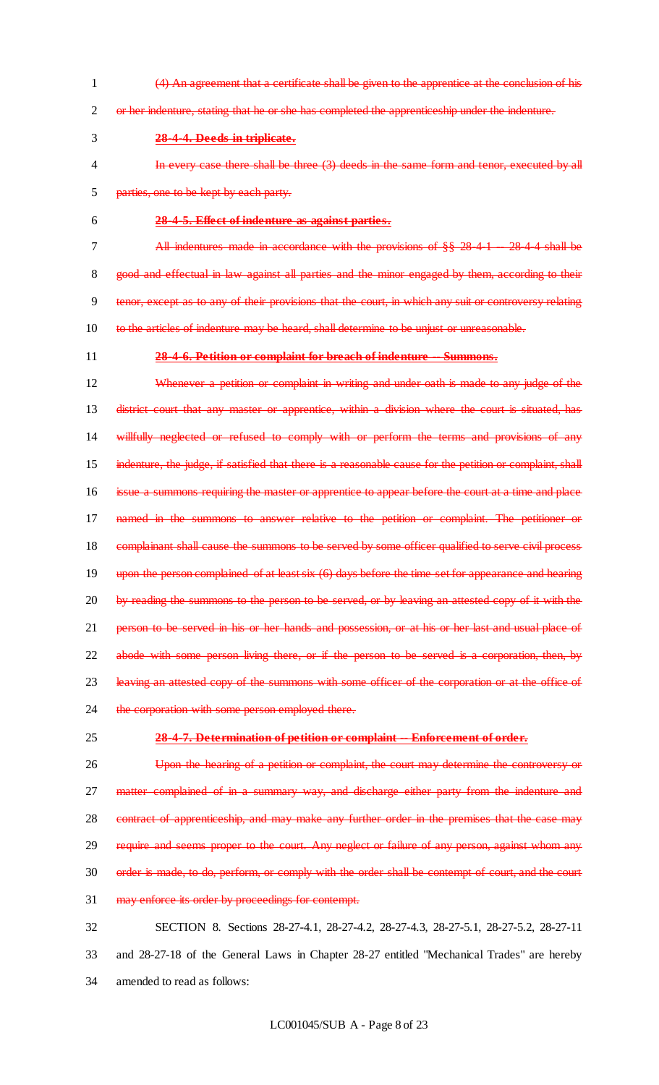- 1 (4) An agreement that a certificate shall be given to the apprentice at the conclusion of his 2 or her indenture, stating that he or she has completed the apprenticeship under the indenture.
- 3 **28-4-4. Deeds in triplicate.**
- 4 In every case there shall be three (3) deeds in the same form and tenor, executed by all 5 parties, one to be kept by each party.
- 
- 6 **28-4-5. Effect of indenture as against parties.**
- 7 All indentures made in accordance with the provisions of §§ 28-4-1 -- 28-4-4 shall be 8 good and effectual in law against all parties and the minor engaged by them, according to their 9 tenor, except as to any of their provisions that the court, in which any suit or controversy relating 10 to the articles of indenture may be heard, shall determine to be unjust or unreasonable.
- 

## 11 **28-4-6. Petition or complaint for breach of indenture -- Summons.**

12 Whenever a petition or complaint in writing and under oath is made to any judge of the 13 district court that any master or apprentice, within a division where the court is situated, has 14 willfully neglected or refused to comply with or perform the terms and provisions of any 15 indenture, the judge, if satisfied that there is a reasonable cause for the petition or complaint, shall 16 issue a summons requiring the master or apprentice to appear before the court at a time and place 17 named in the summons to answer relative to the petition or complaint. The petitioner or 18 complainant shall cause the summons to be served by some officer qualified to serve civil process 19 upon the person complained of at least six (6) days before the time set for appearance and hearing 20 by reading the summons to the person to be served, or by leaving an attested copy of it with the 21 person to be served in his or her hands and possession, or at his or her last and usual place of 22 abode with some person living there, or if the person to be served is a corporation, then, by 23 leaving an attested copy of the summons with some officer of the corporation or at the office of 24 the corporation with some person employed there.

#### 25 **28-4-7. Determination of petition or complaint -- Enforcement of order.**

26 Upon the hearing of a petition or complaint, the court may determine the controversy or 27 matter complained of in a summary way, and discharge either party from the indenture and 28 contract of apprenticeship, and may make any further order in the premises that the case may 29 require and seems proper to the court. Any neglect or failure of any person, against whom any 30 order is made, to do, perform, or comply with the order shall be contempt of court, and the court 31 may enforce its order by proceedings for contempt. 32 SECTION 8. Sections 28-27-4.1, 28-27-4.2, 28-27-4.3, 28-27-5.1, 28-27-5.2, 28-27-11

33 and 28-27-18 of the General Laws in Chapter 28-27 entitled "Mechanical Trades" are hereby 34 amended to read as follows: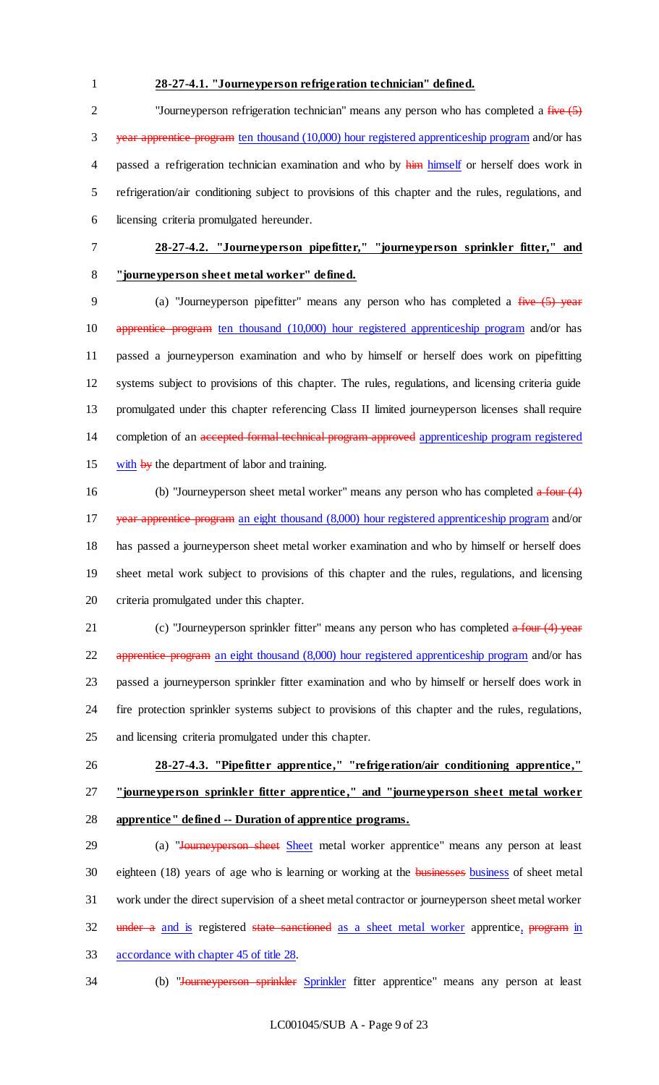# **28-27-4.1. "Journeyperson refrigeration technician" defined.**

<sup>2</sup> "Journeyperson refrigeration technician" means any person who has completed a five (5) year apprentice program ten thousand (10,000) hour registered apprenticeship program and/or has 4 passed a refrigeration technician examination and who by him himself or herself does work in refrigeration/air conditioning subject to provisions of this chapter and the rules, regulations, and licensing criteria promulgated hereunder.

# **28-27-4.2. "Journeyperson pipefitter," "journeyperson sprinkler fitter," and "journeyperson sheet metal worker" defined.**

9 (a) "Journeyperson pipefitter" means any person who has completed a five (5) year apprentice program ten thousand (10,000) hour registered apprenticeship program and/or has passed a journeyperson examination and who by himself or herself does work on pipefitting systems subject to provisions of this chapter. The rules, regulations, and licensing criteria guide promulgated under this chapter referencing Class II limited journeyperson licenses shall require 14 completion of an accepted formal technical program approved apprenticeship program registered with by the department of labor and training.

16 (b) "Journeyperson sheet metal worker" means any person who has completed a four (4) year apprentice program an eight thousand (8,000) hour registered apprenticeship program and/or has passed a journeyperson sheet metal worker examination and who by himself or herself does sheet metal work subject to provisions of this chapter and the rules, regulations, and licensing criteria promulgated under this chapter.

21 (c) "Journeyperson sprinkler fitter" means any person who has completed a four (4) year apprentice program an eight thousand (8,000) hour registered apprenticeship program and/or has passed a journeyperson sprinkler fitter examination and who by himself or herself does work in fire protection sprinkler systems subject to provisions of this chapter and the rules, regulations, and licensing criteria promulgated under this chapter.

- **28-27-4.3. "Pipefitter apprentice," "refrigeration/air conditioning apprentice," "journeyperson sprinkler fitter apprentice ," and "journeyperson sheet metal worker** 
	- **apprentice" defined -- Duration of apprentice programs.**

29 (a) "Journeyperson sheet Sheet metal worker apprentice" means any person at least 30 eighteen (18) years of age who is learning or working at the **businesses** business of sheet metal work under the direct supervision of a sheet metal contractor or journeyperson sheet metal worker 32 under a and is registered state sanctioned as a sheet metal worker apprentice, program in accordance with chapter 45 of title 28.

34 (b) "Journeyperson sprinkler Sprinkler fitter apprentice" means any person at least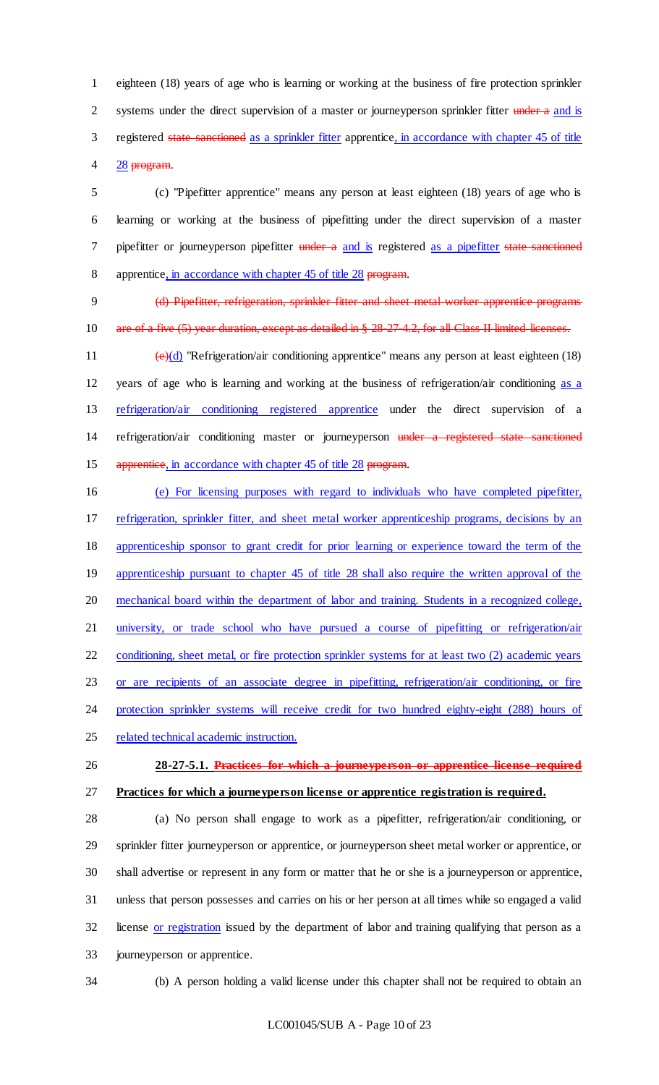eighteen (18) years of age who is learning or working at the business of fire protection sprinkler 2 systems under the direct supervision of a master or journeyperson sprinkler fitter under a and is registered state sanctioned as a sprinkler fitter apprentice, in accordance with chapter 45 of title 28 program.

 (c) "Pipefitter apprentice" means any person at least eighteen (18) years of age who is learning or working at the business of pipefitting under the direct supervision of a master 7 pipefitter or journeyperson pipefitter under a and is registered as a pipefitter state sanctioned 8 apprentice, in accordance with chapter 45 of title 28 program.

 (d) Pipefitter, refrigeration, sprinkler fitter and sheet metal worker apprentice programs 10 are of a five (5) year duration, except as detailed in § 28-27-4.2, for all Class II limited licenses.

11  $(e)(d)$  "Refrigeration/air conditioning apprentice" means any person at least eighteen (18) years of age who is learning and working at the business of refrigeration/air conditioning as a refrigeration/air conditioning registered apprentice under the direct supervision of a 14 refrigeration/air conditioning master or journeyperson under a registered state sanctioned 15 apprentice, in accordance with chapter 45 of title 28 program.

 (e) For licensing purposes with regard to individuals who have completed pipefitter, refrigeration, sprinkler fitter, and sheet metal worker apprenticeship programs, decisions by an apprenticeship sponsor to grant credit for prior learning or experience toward the term of the 19 apprenticeship pursuant to chapter 45 of title 28 shall also require the written approval of the mechanical board within the department of labor and training. Students in a recognized college, university, or trade school who have pursued a course of pipefitting or refrigeration/air conditioning, sheet metal, or fire protection sprinkler systems for at least two (2) academic years or are recipients of an associate degree in pipefitting, refrigeration/air conditioning, or fire 24 protection sprinkler systems will receive credit for two hundred eighty-eight (288) hours of

related technical academic instruction.

 **28-27-5.1. Practices for which a journeyperson or apprentice license required Practices for which a journeyperson license or apprentice registration is required.**

 (a) No person shall engage to work as a pipefitter, refrigeration/air conditioning, or sprinkler fitter journeyperson or apprentice, or journeyperson sheet metal worker or apprentice, or shall advertise or represent in any form or matter that he or she is a journeyperson or apprentice, unless that person possesses and carries on his or her person at all times while so engaged a valid license or registration issued by the department of labor and training qualifying that person as a journeyperson or apprentice.

(b) A person holding a valid license under this chapter shall not be required to obtain an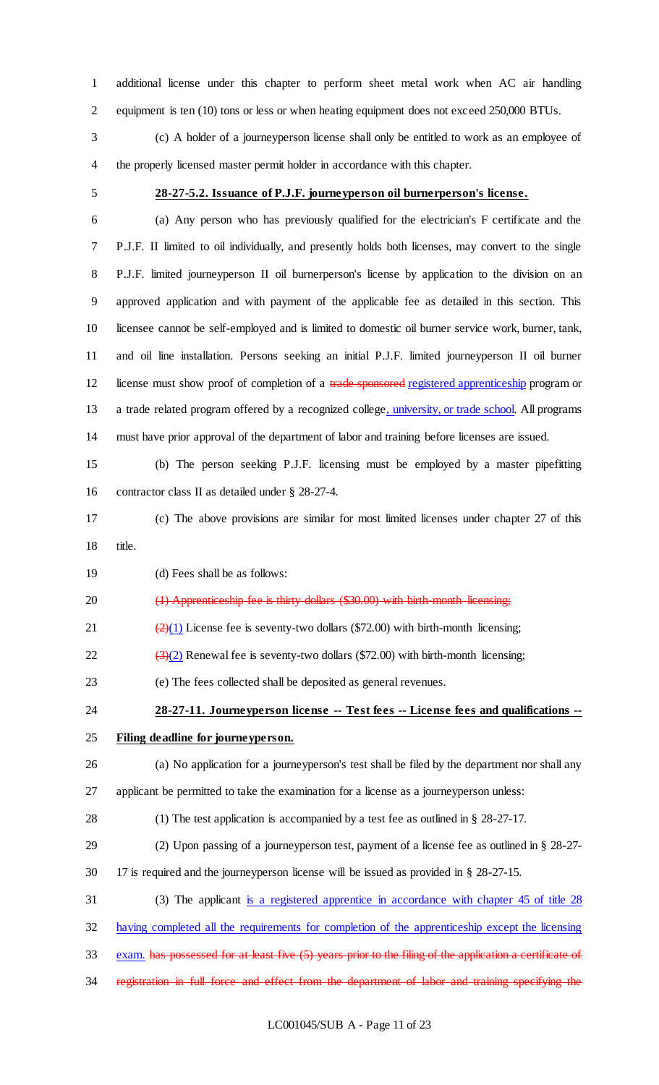additional license under this chapter to perform sheet metal work when AC air handling equipment is ten (10) tons or less or when heating equipment does not exceed 250,000 BTUs.

 (c) A holder of a journeyperson license shall only be entitled to work as an employee of the properly licensed master permit holder in accordance with this chapter.

# **28-27-5.2. Issuance of P.J.F. journeyperson oil burnerperson's license.**

 (a) Any person who has previously qualified for the electrician's F certificate and the P.J.F. II limited to oil individually, and presently holds both licenses, may convert to the single P.J.F. limited journeyperson II oil burnerperson's license by application to the division on an approved application and with payment of the applicable fee as detailed in this section. This licensee cannot be self-employed and is limited to domestic oil burner service work, burner, tank, and oil line installation. Persons seeking an initial P.J.F. limited journeyperson II oil burner 12 license must show proof of completion of a trade sponsored registered apprenticeship program or 13 a trade related program offered by a recognized college, university, or trade school. All programs must have prior approval of the department of labor and training before licenses are issued.

 (b) The person seeking P.J.F. licensing must be employed by a master pipefitting contractor class II as detailed under § 28-27-4.

- (c) The above provisions are similar for most limited licenses under chapter 27 of this title.
- (d) Fees shall be as follows:

20 (1) Apprenticeship fee is thirty dollars (\$30.00) with birth-month-licensing;

21  $\left(\frac{2}{1}\right)$  License fee is seventy-two dollars (\$72.00) with birth-month licensing;

22  $\left(\frac{3}{2}\right)$  Renewal fee is seventy-two dollars (\$72.00) with birth-month licensing;

(e) The fees collected shall be deposited as general revenues.

 **28-27-11. Journeyperson license -- Test fees -- License fees and qualifications -- Filing deadline for journeyperson.**

(a) No application for a journeyperson's test shall be filed by the department nor shall any

applicant be permitted to take the examination for a license as a journeyperson unless:

- (1) The test application is accompanied by a test fee as outlined in § 28-27-17.
- (2) Upon passing of a journeyperson test, payment of a license fee as outlined in § 28-27-
- 17 is required and the journeyperson license will be issued as provided in § 28-27-15.
- (3) The applicant is a registered apprentice in accordance with chapter 45 of title 28

having completed all the requirements for completion of the apprenticeship except the licensing

- exam. has possessed for at least five (5) years prior to the filing of the application a certificate of
- registration in full force and effect from the department of labor and training specifying the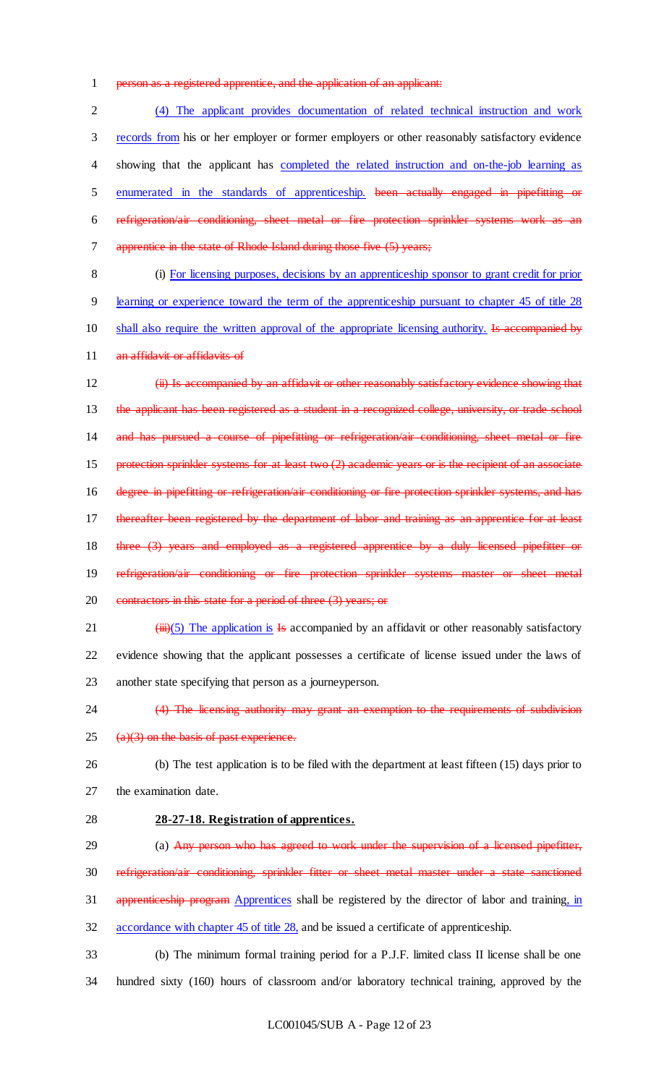1 person as a registered apprentice, and the application of an applicant:

 (4) The applicant provides documentation of related technical instruction and work records from his or her employer or former employers or other reasonably satisfactory evidence 4 showing that the applicant has completed the related instruction and on-the-job learning as enumerated in the standards of apprenticeship. been actually engaged in pipefitting or refrigeration/air conditioning, sheet metal or fire protection sprinkler systems work as an 7 apprentice in the state of Rhode Island during those five (5) years;

8 (i) For licensing purposes, decisions by an apprenticeship sponsor to grant credit for prior 9 learning or experience toward the term of the apprenticeship pursuant to chapter 45 of title 28 10 shall also require the written approval of the appropriate licensing authority. Is accompanied by

11 an affidavit or affidavits of

12 **(ii) Is accompanied by an affidavit or other reasonably satisfactory evidence showing that** 13 the applicant has been registered as a student in a recognized college, university, or trade school 14 and has pursued a course of pipefitting or refrigeration/air conditioning, sheet metal or fire 15 protection sprinkler systems for at least two (2) academic years or is the recipient of an associate 16 degree in pipefitting or refrigeration/air conditioning or fire protection sprinkler systems, and has 17 thereafter been registered by the department of labor and training as an apprentice for at least 18 three (3) years and employed as a registered apprentice by a duly licensed pipefitter or 19 refrigeration/air conditioning or fire protection sprinkler systems master or sheet metal 20 contractors in this state for a period of three (3) years; or

- 21  $(iii)(5)$  The application is Is accompanied by an affidavit or other reasonably satisfactory 22 evidence showing that the applicant possesses a certificate of license issued under the laws of 23 another state specifying that person as a journeyperson.
- 

24 (4) The licensing authority may grant an exemption to the requirements of subdivision

 $25$  (a)(3) on the basis of past experience.

26 (b) The test application is to be filed with the department at least fifteen (15) days prior to 27 the examination date.

- 28 **28-27-18. Registration of apprentices.**
- 29 (a) Any person who has agreed to work under the supervision of a licensed pipefitter, 30 refrigeration/air conditioning, sprinkler fitter or sheet metal master under a state sanctioned
- 31 apprenticeship program Apprentices shall be registered by the director of labor and training, in

32 accordance with chapter 45 of title 28, and be issued a certificate of apprenticeship.

33 (b) The minimum formal training period for a P.J.F. limited class II license shall be one 34 hundred sixty (160) hours of classroom and/or laboratory technical training, approved by the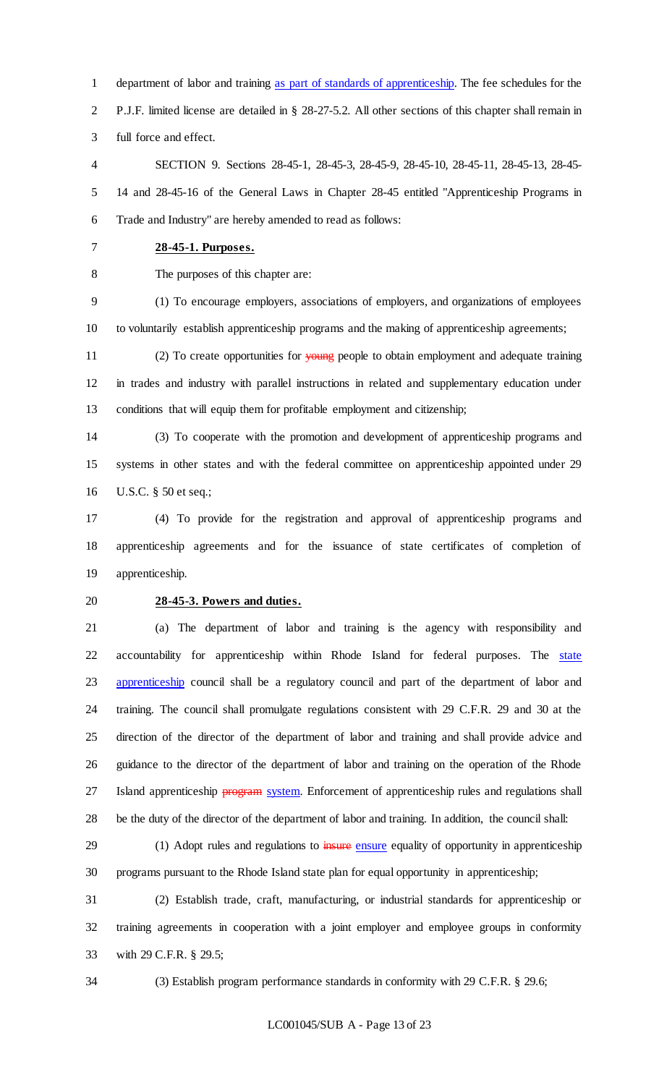department of labor and training as part of standards of apprenticeship. The fee schedules for the P.J.F. limited license are detailed in § 28-27-5.2. All other sections of this chapter shall remain in full force and effect.

 SECTION 9. Sections 28-45-1, 28-45-3, 28-45-9, 28-45-10, 28-45-11, 28-45-13, 28-45- 14 and 28-45-16 of the General Laws in Chapter 28-45 entitled "Apprenticeship Programs in Trade and Industry" are hereby amended to read as follows:

- **28-45-1. Purposes.**
- 

The purposes of this chapter are:

 (1) To encourage employers, associations of employers, and organizations of employees to voluntarily establish apprenticeship programs and the making of apprenticeship agreements;

11 (2) To create opportunities for young people to obtain employment and adequate training in trades and industry with parallel instructions in related and supplementary education under conditions that will equip them for profitable employment and citizenship;

 (3) To cooperate with the promotion and development of apprenticeship programs and systems in other states and with the federal committee on apprenticeship appointed under 29 U.S.C. § 50 et seq.;

 (4) To provide for the registration and approval of apprenticeship programs and apprenticeship agreements and for the issuance of state certificates of completion of apprenticeship.

## **28-45-3. Powers and duties.**

 (a) The department of labor and training is the agency with responsibility and 22 accountability for apprenticeship within Rhode Island for federal purposes. The state 23 apprenticeship council shall be a regulatory council and part of the department of labor and training. The council shall promulgate regulations consistent with 29 C.F.R. 29 and 30 at the direction of the director of the department of labor and training and shall provide advice and guidance to the director of the department of labor and training on the operation of the Rhode 27 Island apprenticeship **program** system. Enforcement of apprenticeship rules and regulations shall be the duty of the director of the department of labor and training. In addition, the council shall:

29 (1) Adopt rules and regulations to insure ensure equality of opportunity in apprenticeship programs pursuant to the Rhode Island state plan for equal opportunity in apprenticeship;

 (2) Establish trade, craft, manufacturing, or industrial standards for apprenticeship or training agreements in cooperation with a joint employer and employee groups in conformity with 29 C.F.R. § 29.5;

(3) Establish program performance standards in conformity with 29 C.F.R. § 29.6;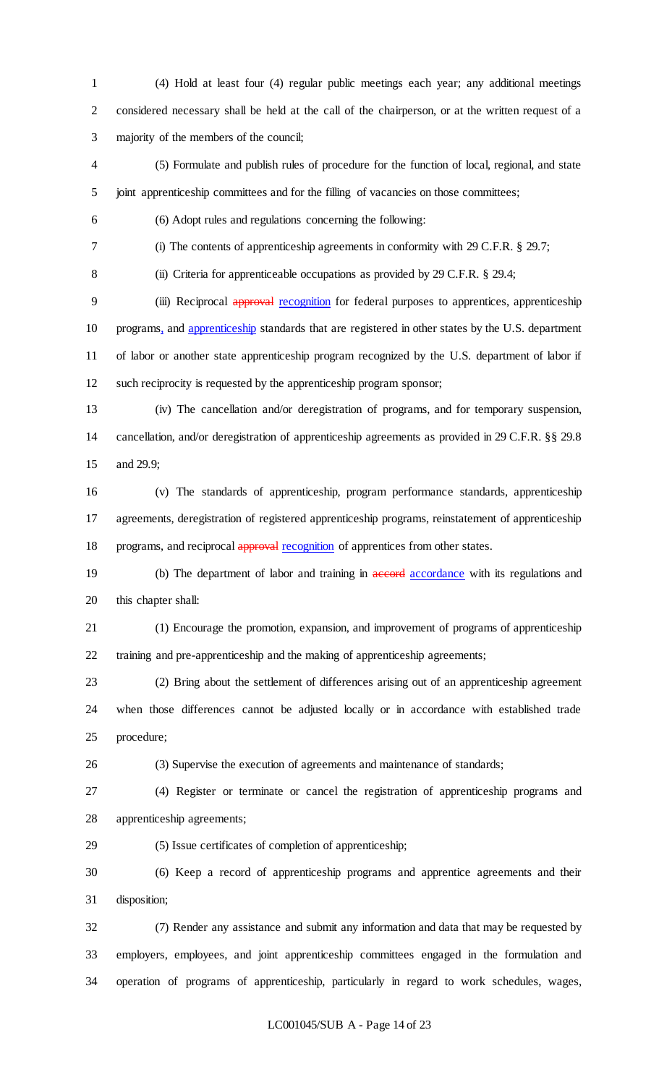(4) Hold at least four (4) regular public meetings each year; any additional meetings considered necessary shall be held at the call of the chairperson, or at the written request of a majority of the members of the council;

 (5) Formulate and publish rules of procedure for the function of local, regional, and state joint apprenticeship committees and for the filling of vacancies on those committees;

(6) Adopt rules and regulations concerning the following:

(i) The contents of apprenticeship agreements in conformity with 29 C.F.R. § 29.7;

8 (ii) Criteria for apprenticeable occupations as provided by 29 C.F.R. § 29.4;

9 (iii) Reciprocal approval recognition for federal purposes to apprentices, apprenticeship programs, and apprenticeship standards that are registered in other states by the U.S. department of labor or another state apprenticeship program recognized by the U.S. department of labor if such reciprocity is requested by the apprenticeship program sponsor;

 (iv) The cancellation and/or deregistration of programs, and for temporary suspension, cancellation, and/or deregistration of apprenticeship agreements as provided in 29 C.F.R. §§ 29.8 and 29.9;

 (v) The standards of apprenticeship, program performance standards, apprenticeship agreements, deregistration of registered apprenticeship programs, reinstatement of apprenticeship 18 programs, and reciprocal approval recognition of apprentices from other states.

19 (b) The department of labor and training in accordance with its regulations and this chapter shall:

 (1) Encourage the promotion, expansion, and improvement of programs of apprenticeship training and pre-apprenticeship and the making of apprenticeship agreements;

 (2) Bring about the settlement of differences arising out of an apprenticeship agreement when those differences cannot be adjusted locally or in accordance with established trade procedure;

(3) Supervise the execution of agreements and maintenance of standards;

 (4) Register or terminate or cancel the registration of apprenticeship programs and apprenticeship agreements;

(5) Issue certificates of completion of apprenticeship;

 (6) Keep a record of apprenticeship programs and apprentice agreements and their disposition;

 (7) Render any assistance and submit any information and data that may be requested by employers, employees, and joint apprenticeship committees engaged in the formulation and operation of programs of apprenticeship, particularly in regard to work schedules, wages,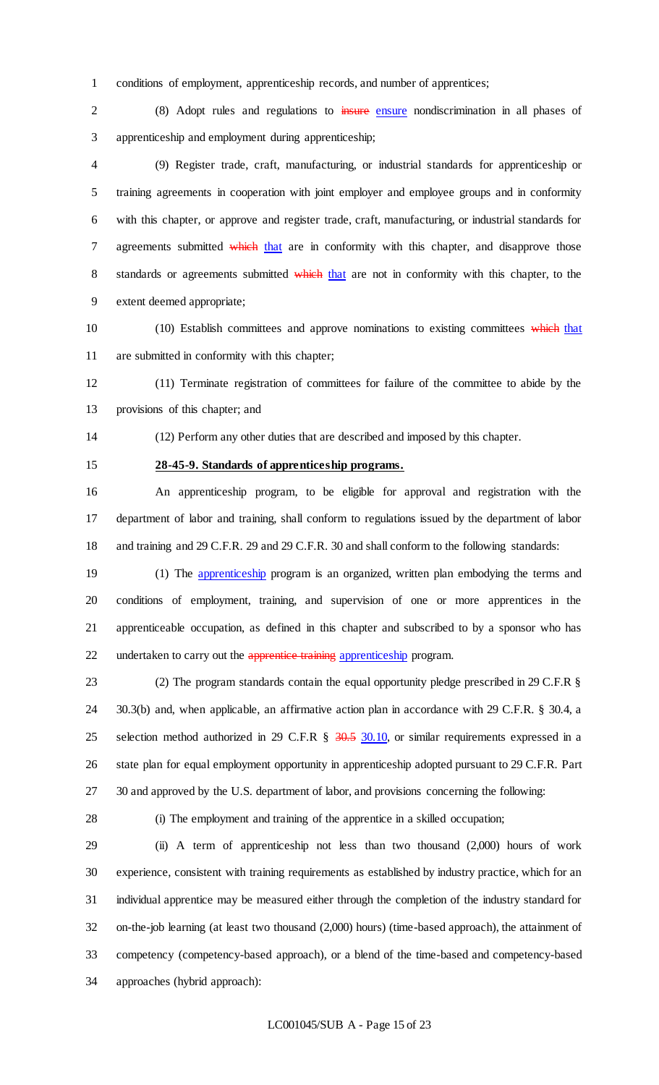conditions of employment, apprenticeship records, and number of apprentices;

 (8) Adopt rules and regulations to insure ensure nondiscrimination in all phases of apprenticeship and employment during apprenticeship;

 (9) Register trade, craft, manufacturing, or industrial standards for apprenticeship or training agreements in cooperation with joint employer and employee groups and in conformity with this chapter, or approve and register trade, craft, manufacturing, or industrial standards for 7 agreements submitted which that are in conformity with this chapter, and disapprove those 8 standards or agreements submitted which that are not in conformity with this chapter, to the extent deemed appropriate;

10 (10) Establish committees and approve nominations to existing committees which that are submitted in conformity with this chapter;

 (11) Terminate registration of committees for failure of the committee to abide by the provisions of this chapter; and

(12) Perform any other duties that are described and imposed by this chapter.

**28-45-9. Standards of apprenticeship programs.**

 An apprenticeship program, to be eligible for approval and registration with the department of labor and training, shall conform to regulations issued by the department of labor and training and 29 C.F.R. 29 and 29 C.F.R. 30 and shall conform to the following standards:

19 (1) The *apprenticeship* program is an organized, written plan embodying the terms and conditions of employment, training, and supervision of one or more apprentices in the apprenticeable occupation, as defined in this chapter and subscribed to by a sponsor who has 22 undertaken to carry out the apprentice training apprenticeship program.

 (2) The program standards contain the equal opportunity pledge prescribed in 29 C.F.R § 30.3(b) and, when applicable, an affirmative action plan in accordance with 29 C.F.R. § 30.4, a 25 selection method authorized in 29 C.F.R § 30.5 30.10, or similar requirements expressed in a state plan for equal employment opportunity in apprenticeship adopted pursuant to 29 C.F.R. Part 30 and approved by the U.S. department of labor, and provisions concerning the following:

(i) The employment and training of the apprentice in a skilled occupation;

 (ii) A term of apprenticeship not less than two thousand (2,000) hours of work experience, consistent with training requirements as established by industry practice, which for an individual apprentice may be measured either through the completion of the industry standard for on-the-job learning (at least two thousand (2,000) hours) (time-based approach), the attainment of competency (competency-based approach), or a blend of the time-based and competency-based approaches (hybrid approach):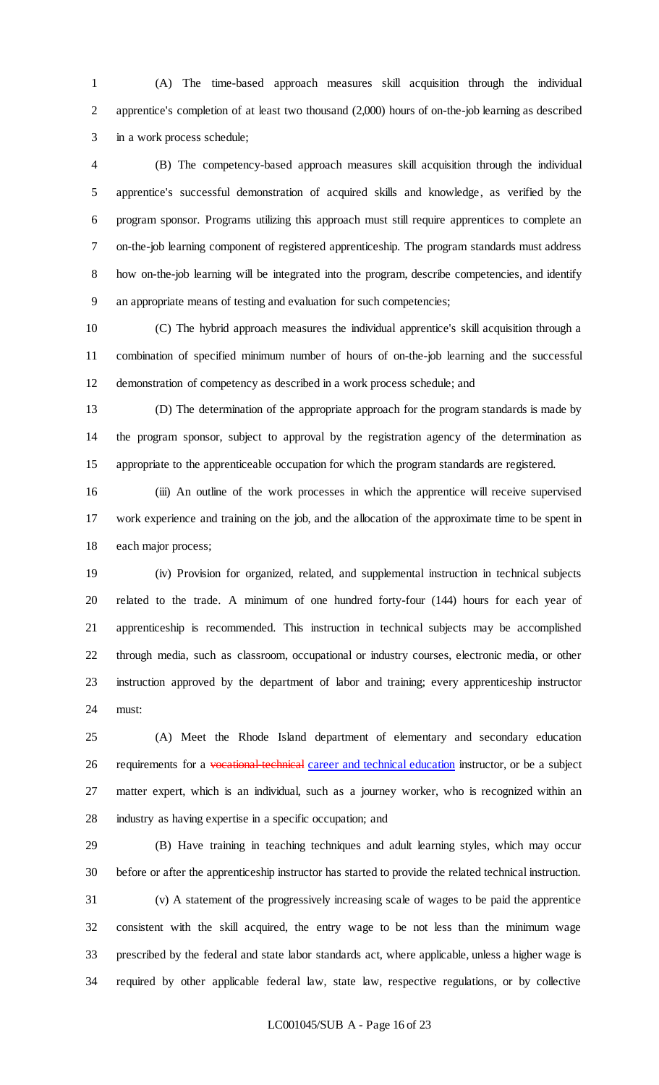(A) The time-based approach measures skill acquisition through the individual apprentice's completion of at least two thousand (2,000) hours of on-the-job learning as described in a work process schedule;

 (B) The competency-based approach measures skill acquisition through the individual apprentice's successful demonstration of acquired skills and knowledge, as verified by the program sponsor. Programs utilizing this approach must still require apprentices to complete an on-the-job learning component of registered apprenticeship. The program standards must address 8 how on-the-job learning will be integrated into the program, describe competencies, and identify an appropriate means of testing and evaluation for such competencies;

 (C) The hybrid approach measures the individual apprentice's skill acquisition through a combination of specified minimum number of hours of on-the-job learning and the successful demonstration of competency as described in a work process schedule; and

 (D) The determination of the appropriate approach for the program standards is made by the program sponsor, subject to approval by the registration agency of the determination as appropriate to the apprenticeable occupation for which the program standards are registered.

 (iii) An outline of the work processes in which the apprentice will receive supervised work experience and training on the job, and the allocation of the approximate time to be spent in each major process;

 (iv) Provision for organized, related, and supplemental instruction in technical subjects related to the trade. A minimum of one hundred forty-four (144) hours for each year of apprenticeship is recommended. This instruction in technical subjects may be accomplished through media, such as classroom, occupational or industry courses, electronic media, or other instruction approved by the department of labor and training; every apprenticeship instructor must:

 (A) Meet the Rhode Island department of elementary and secondary education 26 requirements for a vocational-technical career and technical education instructor, or be a subject matter expert, which is an individual, such as a journey worker, who is recognized within an industry as having expertise in a specific occupation; and

 (B) Have training in teaching techniques and adult learning styles, which may occur before or after the apprenticeship instructor has started to provide the related technical instruction.

 (v) A statement of the progressively increasing scale of wages to be paid the apprentice consistent with the skill acquired, the entry wage to be not less than the minimum wage prescribed by the federal and state labor standards act, where applicable, unless a higher wage is required by other applicable federal law, state law, respective regulations, or by collective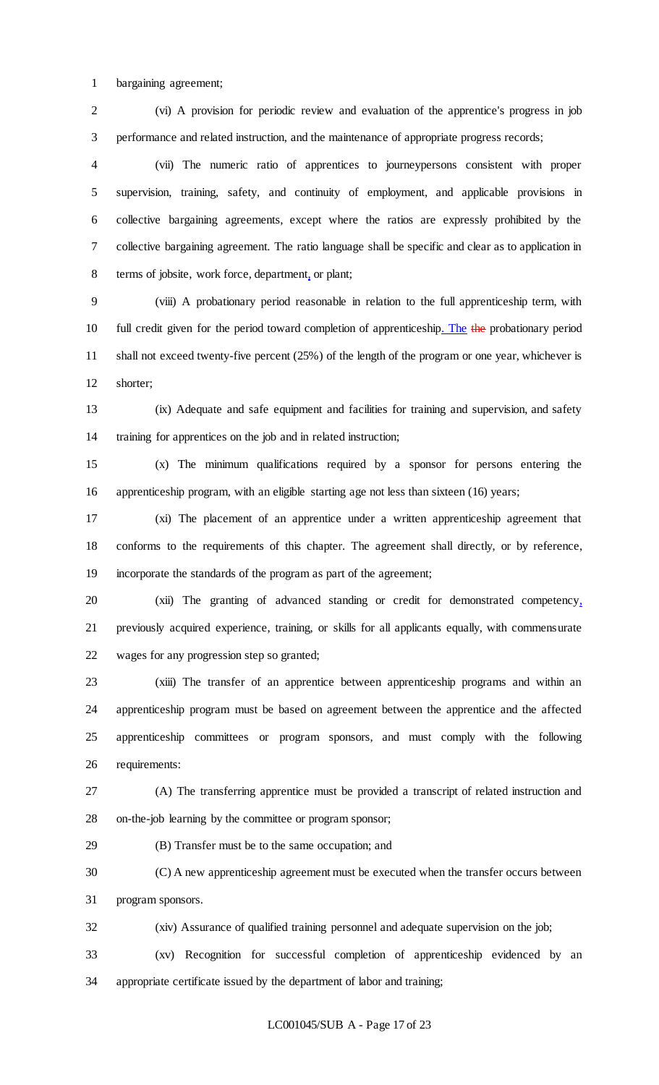bargaining agreement;

 (vi) A provision for periodic review and evaluation of the apprentice's progress in job performance and related instruction, and the maintenance of appropriate progress records;

 (vii) The numeric ratio of apprentices to journeypersons consistent with proper supervision, training, safety, and continuity of employment, and applicable provisions in collective bargaining agreements, except where the ratios are expressly prohibited by the collective bargaining agreement. The ratio language shall be specific and clear as to application in terms of jobsite, work force, department, or plant;

 (viii) A probationary period reasonable in relation to the full apprenticeship term, with 10 full credit given for the period toward completion of apprenticeship. The the probationary period shall not exceed twenty-five percent (25%) of the length of the program or one year, whichever is shorter;

 (ix) Adequate and safe equipment and facilities for training and supervision, and safety training for apprentices on the job and in related instruction;

 (x) The minimum qualifications required by a sponsor for persons entering the apprenticeship program, with an eligible starting age not less than sixteen (16) years;

 (xi) The placement of an apprentice under a written apprenticeship agreement that conforms to the requirements of this chapter. The agreement shall directly, or by reference, incorporate the standards of the program as part of the agreement;

 (xii) The granting of advanced standing or credit for demonstrated competency, previously acquired experience, training, or skills for all applicants equally, with commensurate wages for any progression step so granted;

 (xiii) The transfer of an apprentice between apprenticeship programs and within an apprenticeship program must be based on agreement between the apprentice and the affected apprenticeship committees or program sponsors, and must comply with the following requirements:

 (A) The transferring apprentice must be provided a transcript of related instruction and on-the-job learning by the committee or program sponsor;

(B) Transfer must be to the same occupation; and

 (C) A new apprenticeship agreement must be executed when the transfer occurs between program sponsors.

(xiv) Assurance of qualified training personnel and adequate supervision on the job;

 (xv) Recognition for successful completion of apprenticeship evidenced by an appropriate certificate issued by the department of labor and training;

## LC001045/SUB A - Page 17 of 23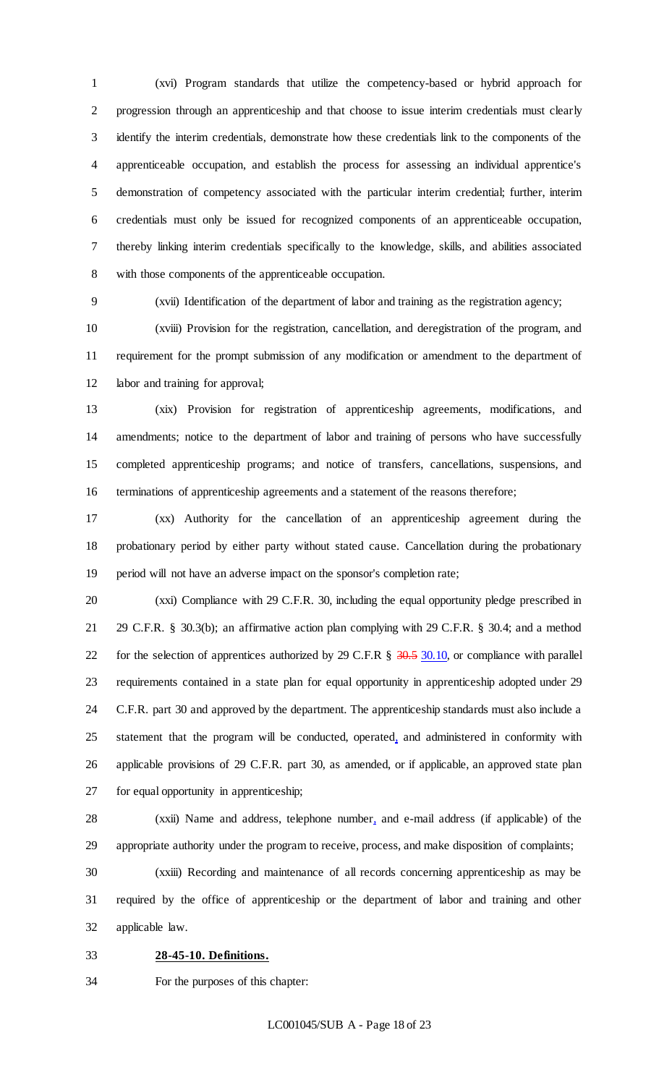(xvi) Program standards that utilize the competency-based or hybrid approach for progression through an apprenticeship and that choose to issue interim credentials must clearly identify the interim credentials, demonstrate how these credentials link to the components of the apprenticeable occupation, and establish the process for assessing an individual apprentice's demonstration of competency associated with the particular interim credential; further, interim credentials must only be issued for recognized components of an apprenticeable occupation, thereby linking interim credentials specifically to the knowledge, skills, and abilities associated with those components of the apprenticeable occupation.

(xvii) Identification of the department of labor and training as the registration agency;

 (xviii) Provision for the registration, cancellation, and deregistration of the program, and requirement for the prompt submission of any modification or amendment to the department of labor and training for approval;

 (xix) Provision for registration of apprenticeship agreements, modifications, and amendments; notice to the department of labor and training of persons who have successfully completed apprenticeship programs; and notice of transfers, cancellations, suspensions, and terminations of apprenticeship agreements and a statement of the reasons therefore;

 (xx) Authority for the cancellation of an apprenticeship agreement during the probationary period by either party without stated cause. Cancellation during the probationary period will not have an adverse impact on the sponsor's completion rate;

 (xxi) Compliance with 29 C.F.R. 30, including the equal opportunity pledge prescribed in 29 C.F.R. § 30.3(b); an affirmative action plan complying with 29 C.F.R. § 30.4; and a method 22 for the selection of apprentices authorized by 29 C.F.R  $\S$  30.5 30.10, or compliance with parallel requirements contained in a state plan for equal opportunity in apprenticeship adopted under 29 C.F.R. part 30 and approved by the department. The apprenticeship standards must also include a statement that the program will be conducted, operated, and administered in conformity with applicable provisions of 29 C.F.R. part 30, as amended, or if applicable, an approved state plan for equal opportunity in apprenticeship;

 (xxii) Name and address, telephone number, and e-mail address (if applicable) of the appropriate authority under the program to receive, process, and make disposition of complaints;

 (xxiii) Recording and maintenance of all records concerning apprenticeship as may be required by the office of apprenticeship or the department of labor and training and other applicable law.

**28-45-10. Definitions.**

For the purposes of this chapter: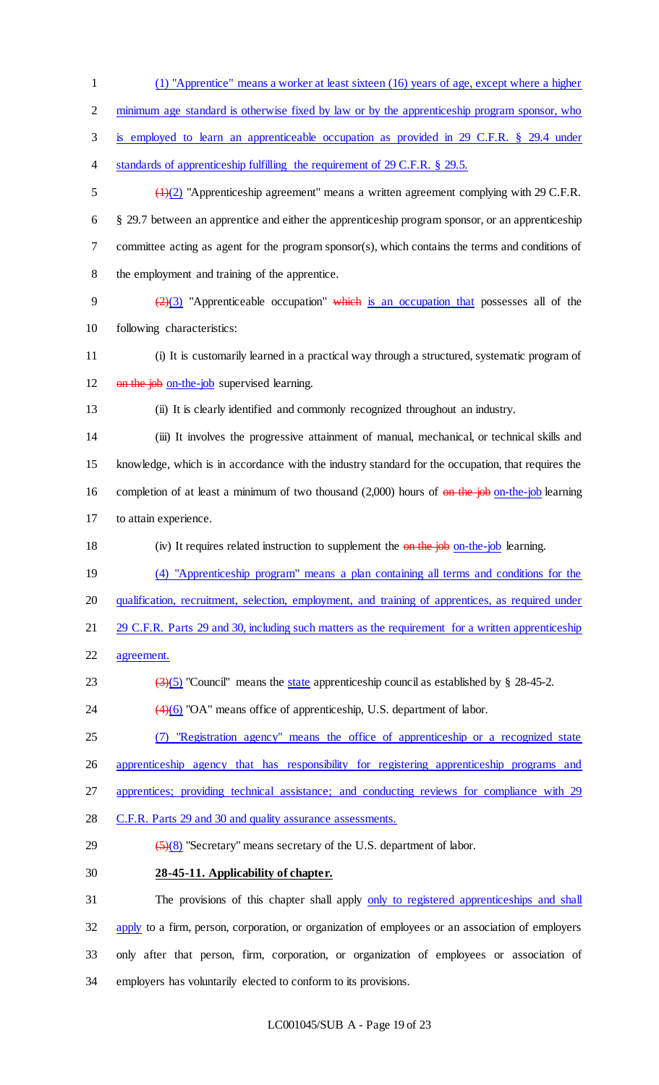(1) "Apprentice" means a worker at least sixteen (16) years of age, except where a higher minimum age standard is otherwise fixed by law or by the apprenticeship program sponsor, who is employed to learn an apprenticeable occupation as provided in 29 C.F.R. § 29.4 under 4 standards of apprenticeship fulfilling the requirement of 29 C.F.R. § 29.5. (1)(2) "Apprenticeship agreement" means a written agreement complying with 29 C.F.R. § 29.7 between an apprentice and either the apprenticeship program sponsor, or an apprenticeship committee acting as agent for the program sponsor(s), which contains the terms and conditions of the employment and training of the apprentice.  $\left(\frac{2}{3}\right)$  "Apprenticeable occupation" which is an occupation that possesses all of the following characteristics: (i) It is customarily learned in a practical way through a structured, systematic program of 12 on the job on-the-job supervised learning. (ii) It is clearly identified and commonly recognized throughout an industry. (iii) It involves the progressive attainment of manual, mechanical, or technical skills and knowledge, which is in accordance with the industry standard for the occupation, that requires the 16 completion of at least a minimum of two thousand (2,000) hours of on the job on-the-job learning to attain experience. 18 (iv) It requires related instruction to supplement the on the job on-the-job learning. (4) "Apprenticeship program" means a plan containing all terms and conditions for the qualification, recruitment, selection, employment, and training of apprentices, as required under 21 29 C.F.R. Parts 29 and 30, including such matters as the requirement for a written apprenticeship agreement.  $\left(\frac{3}{5}\right)$  "Council" means the state apprenticeship council as established by § 28-45-2.  $\left(4\right)\left(6\right)$  "OA" means office of apprenticeship, U.S. department of labor. (7) "Registration agency" means the office of apprenticeship or a recognized state apprenticeship agency that has responsibility for registering apprenticeship programs and apprentices; providing technical assistance; and conducting reviews for compliance with 29 C.F.R. Parts 29 and 30 and quality assurance assessments.  $\left(\frac{5}{8}\right)$  "Secretary" means secretary of the U.S. department of labor. **28-45-11. Applicability of chapter.** 31 The provisions of this chapter shall apply only to registered apprenticeships and shall 32 apply to a firm, person, corporation, or organization of employees or an association of employers

 only after that person, firm, corporation, or organization of employees or association of employers has voluntarily elected to conform to its provisions.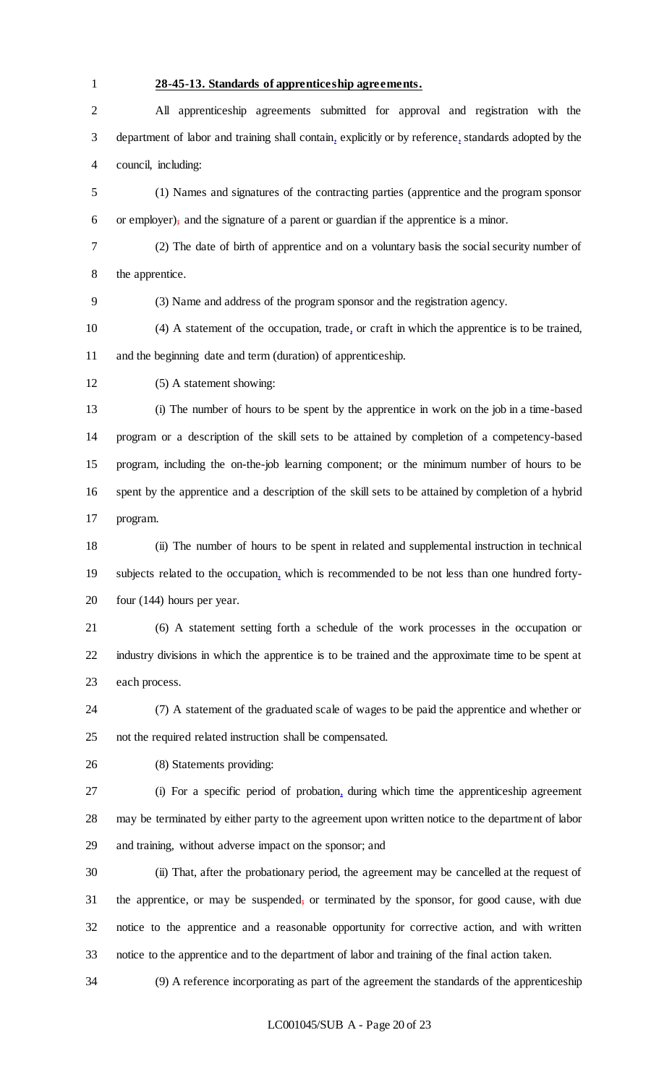# **28-45-13. Standards of apprenticeship agreements.**

 All apprenticeship agreements submitted for approval and registration with the department of labor and training shall contain, explicitly or by reference, standards adopted by the council, including:

 (1) Names and signatures of the contracting parties (apprentice and the program sponsor or employer), and the signature of a parent or guardian if the apprentice is a minor.

 (2) The date of birth of apprentice and on a voluntary basis the social security number of the apprentice.

(3) Name and address of the program sponsor and the registration agency.

 (4) A statement of the occupation, trade, or craft in which the apprentice is to be trained, and the beginning date and term (duration) of apprenticeship.

(5) A statement showing:

 (i) The number of hours to be spent by the apprentice in work on the job in a time-based program or a description of the skill sets to be attained by completion of a competency-based program, including the on-the-job learning component; or the minimum number of hours to be spent by the apprentice and a description of the skill sets to be attained by completion of a hybrid program.

 (ii) The number of hours to be spent in related and supplemental instruction in technical subjects related to the occupation, which is recommended to be not less than one hundred forty-four (144) hours per year.

 (6) A statement setting forth a schedule of the work processes in the occupation or industry divisions in which the apprentice is to be trained and the approximate time to be spent at each process.

 (7) A statement of the graduated scale of wages to be paid the apprentice and whether or not the required related instruction shall be compensated.

(8) Statements providing:

 (i) For a specific period of probation, during which time the apprenticeship agreement may be terminated by either party to the agreement upon written notice to the department of labor and training, without adverse impact on the sponsor; and

 (ii) That, after the probationary period, the agreement may be cancelled at the request of 31 the apprentice, or may be suspended, or terminated by the sponsor, for good cause, with due notice to the apprentice and a reasonable opportunity for corrective action, and with written notice to the apprentice and to the department of labor and training of the final action taken.

(9) A reference incorporating as part of the agreement the standards of the apprenticeship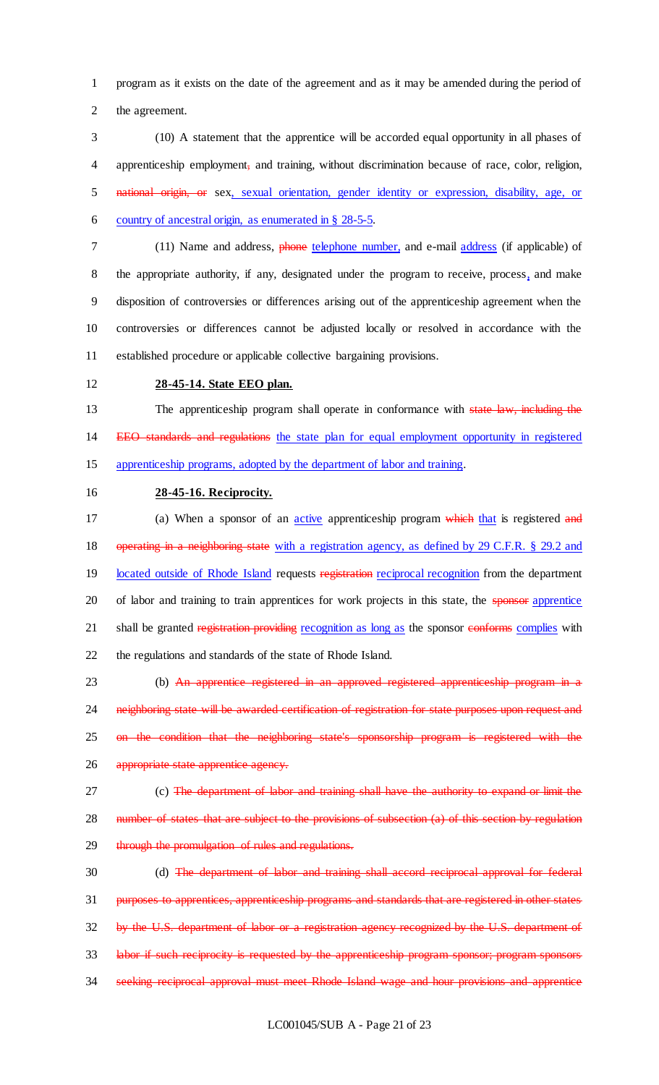program as it exists on the date of the agreement and as it may be amended during the period of the agreement.

 (10) A statement that the apprentice will be accorded equal opportunity in all phases of apprenticeship employment, and training, without discrimination because of race, color, religion, national origin, or sex, sexual orientation, gender identity or expression, disability, age, or country of ancestral origin, as enumerated in § 28-5-5.

 (11) Name and address, phone telephone number, and e-mail address (if applicable) of the appropriate authority, if any, designated under the program to receive, process, and make disposition of controversies or differences arising out of the apprenticeship agreement when the controversies or differences cannot be adjusted locally or resolved in accordance with the established procedure or applicable collective bargaining provisions.

## **28-45-14. State EEO plan.**

13 The apprenticeship program shall operate in conformance with state law, including the 14 EEO standards and regulations the state plan for equal employment opportunity in registered apprenticeship programs, adopted by the department of labor and training.

**28-45-16. Reciprocity.**

17 (a) When a sponsor of an *active* apprenticeship program which that is registered and 18 operating in a neighboring state with a registration agency, as defined by 29 C.F.R. § 29.2 and 19 located outside of Rhode Island requests registration reciprocal recognition from the department 20 of labor and training to train apprentices for work projects in this state, the sponsor apprentice 21 shall be granted registration providing recognition as long as the sponsor conforms complies with the regulations and standards of the state of Rhode Island.

 (b) An apprentice registered in an approved registered apprenticeship program in a 24 neighboring state will be awarded certification of registration for state purposes upon request and on the condition that the neighboring state's sponsorship program is registered with the appropriate state apprentice agency.

27 (c) The department of labor and training shall have the authority to expand or limit the 28 number of states that are subject to the provisions of subsection (a) of this section by regulation 29 through the promulgation of rules and regulations.

 (d) The department of labor and training shall accord reciprocal approval for federal purposes to apprentices, apprenticeship programs and standards that are registered in other states by the U.S. department of labor or a registration agency recognized by the U.S. department of labor if such reciprocity is requested by the apprenticeship program sponsor; program sponsors seeking reciprocal approval must meet Rhode Island wage and hour provisions and apprentice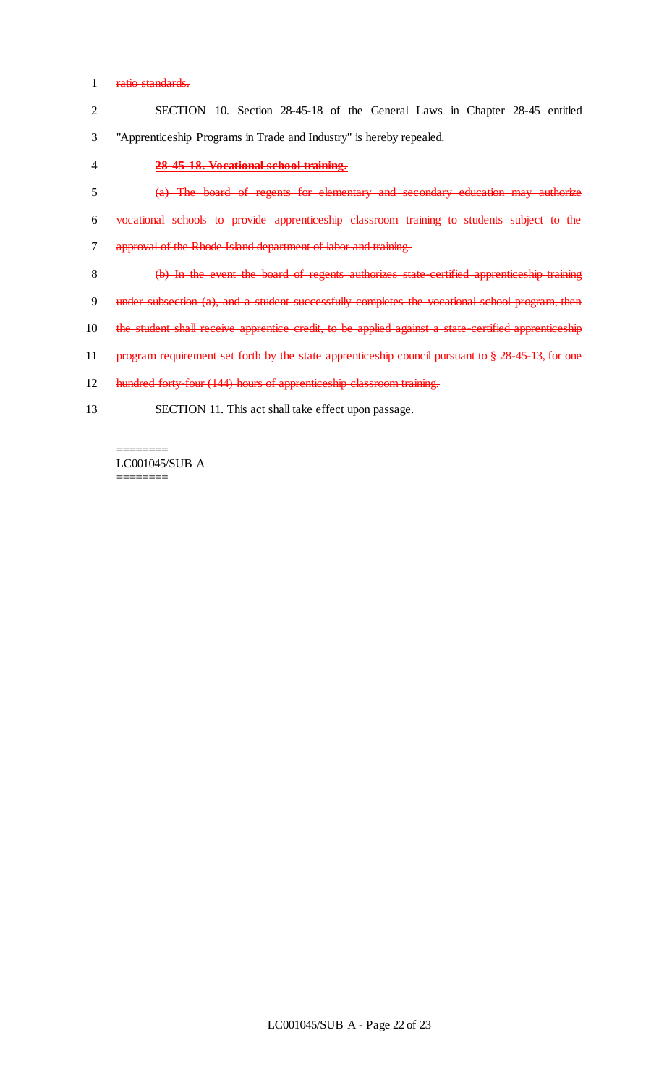## 1 ratio standards.

|    | SECTION 10. Section 28-45-18 of the General Laws in Chapter 28-45 entitled                          |
|----|-----------------------------------------------------------------------------------------------------|
| 3  | "Apprenticeship Programs in Trade and Industry" is hereby repealed.                                 |
|    | 28-45-18. Vocational school training.                                                               |
|    | (a) The board of regents for elementary and secondary education may authorize                       |
| 6  | vocational schools to provide apprenticeship classroom training to students subject to the          |
|    | approval of the Rhode Island department of labor and training.                                      |
| 8  | (b) In the event the board of regents authorizes state certified apprenticeship training            |
| 9  | under subsection (a), and a student successfully completes the vocational school program, then      |
| 10 | the student shall receive apprentice credit, to be applied against a state certified apprenticeship |
|    |                                                                                                     |

- 11 program requirement set forth by the state apprenticeship council pursuant to § 28-45-13, for one
- 12 hundred forty-four (144) hours of apprenticeship classroom training.
- 13 SECTION 11. This act shall take effect upon passage.

## LC001045/SUB A ========

========